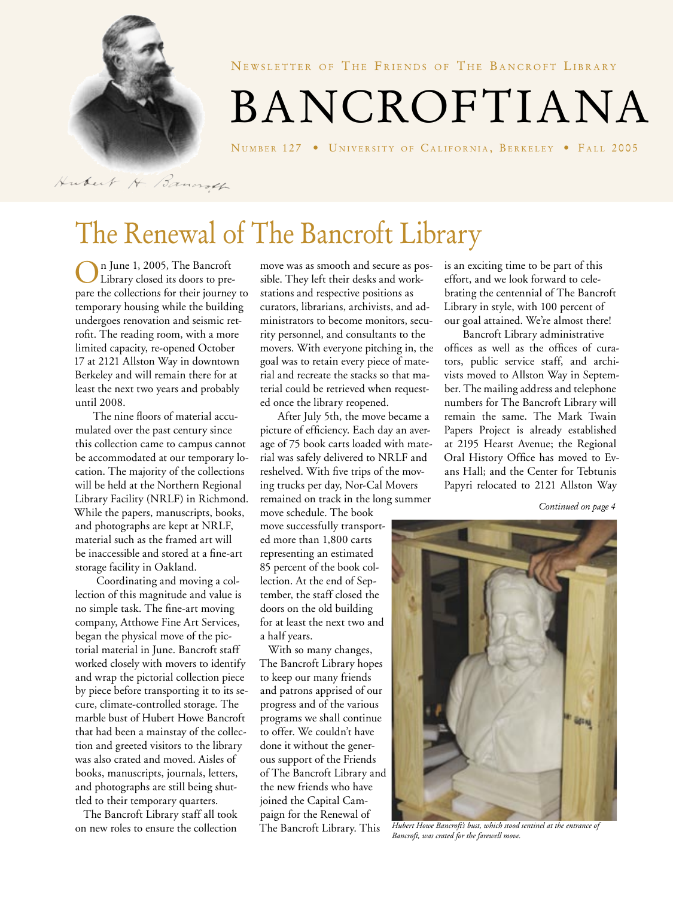

NEWSLETTER OF THE FRIENDS OF THE BANCROFT LIBRARY

BANCROFTIANA

NUMBER 127 • UNIVERSITY OF CALIFORNIA, BERKELEY • FALL 2005

Hubert H. Bancroth

# The Renewal of The Bancroft Library

On June 1, 2005, The Bancroft Library closed its doors to prepare the collections for their journey to temporary housing while the building undergoes renovation and seismic retrofit. The reading room, with a more limited capacity, re-opened October 17 at 2121 Allston Way in downtown Berkeley and will remain there for at least the next two years and probably until 2008.

The nine floors of material accumulated over the past century since this collection came to campus cannot be accommodated at our temporary location. The majority of the collections will be held at the Northern Regional Library Facility (NRLF) in Richmond. While the papers, manuscripts, books, and photographs are kept at NRLF, material such as the framed art will be inaccessible and stored at a fine-art storage facility in Oakland.

 Coordinating and moving a collection of this magnitude and value is no simple task. The fine-art moving company, Atthowe Fine Art Services, began the physical move of the pictorial material in June. Bancroft staff worked closely with movers to identify and wrap the pictorial collection piece by piece before transporting it to its secure, climate-controlled storage. The marble bust of Hubert Howe Bancroft that had been a mainstay of the collection and greeted visitors to the library was also crated and moved. Aisles of books, manuscripts, journals, letters, and photographs are still being shuttled to their temporary quarters.

 The Bancroft Library staff all took on new roles to ensure the collection

move was as smooth and secure as possible. They left their desks and workstations and respective positions as curators, librarians, archivists, and administrators to become monitors, security personnel, and consultants to the movers. With everyone pitching in, the goal was to retain every piece of material and recreate the stacks so that material could be retrieved when requested once the library reopened.

After July 5th, the move became a picture of efficiency. Each day an average of 75 book carts loaded with material was safely delivered to NRLF and reshelved. With five trips of the moving trucks per day, Nor-Cal Movers remained on track in the long summer

move schedule. The book move successfully transported more than 1,800 carts representing an estimated 85 percent of the book collection. At the end of September, the staff closed the doors on the old building for at least the next two and a half years.

 With so many changes, The Bancroft Library hopes to keep our many friends and patrons apprised of our progress and of the various programs we shall continue to offer. We couldn't have done it without the generous support of the Friends of The Bancroft Library and the new friends who have joined the Capital Campaign for the Renewal of The Bancroft Library. This

is an exciting time to be part of this effort, and we look forward to celebrating the centennial of The Bancroft Library in style, with 100 percent of our goal attained. We're almost there!

Bancroft Library administrative offices as well as the offices of curators, public service staff, and archivists moved to Allston Way in September. The mailing address and telephone numbers for The Bancroft Library will remain the same. The Mark Twain Papers Project is already established at 2195 Hearst Avenue; the Regional Oral History Office has moved to Evans Hall; and the Center for Tebtunis Papyri relocated to 2121 Allston Way

*Continued on page 4*



*Hubert Howe Bancroft's bust, which stood sentinel at the entrance of Bancroft, was crated for the farewell move.*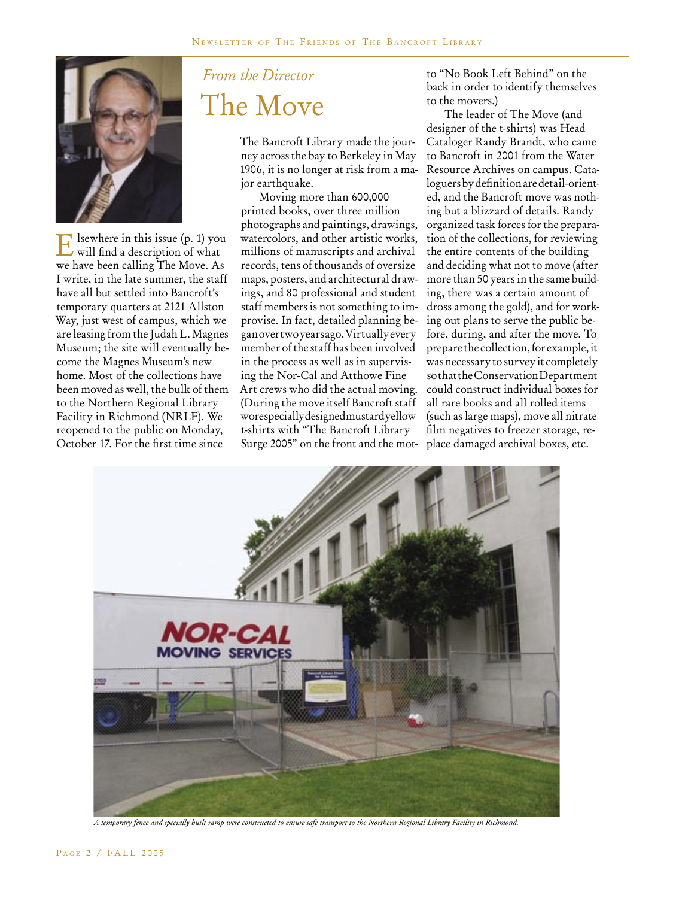

Elsewhere in this issue (p. 1) you will find a description of what we have been calling The Move. As I write, in the late summer, the staff have all but settled into Bancroft's temporary quarters at 2121 Allston Way, just west of campus, which we are leasing from the Judah L. Magnes Museum; the site will eventually become the Magnes Museum's new home. Most of the collections have been moved as well, the bulk of them to the Northern Regional Library Facility in Richmond (NRLF). We reopened to the public on Monday, October 17. For the first time since

## *From the Director* The Move

The Bancroft Library made the journey across the bay to Berkeley in May 1906, it is no longer at risk from a major earthquake.

Moving more than 600,000 printed books, over three million photographs and paintings, drawings, watercolors, and other artistic works, millions of manuscripts and archival records, tens of thousands of oversize maps, posters, and architectural drawings, and 80 professional and student staff members is not something to improvise. In fact, detailed planning began over two years ago. Virtually every member of the staff has been involved in the process as well as in supervising the Nor-Cal and Atthowe Fine Art crews who did the actual moving. (During the move itself Bancroft staff wore specially designed mustard yellow t-shirts with "The Bancroft Library Surge 2005" on the front and the mot-place damaged archival boxes, etc.

to "No Book Left Behind" on the back in order to identify themselves to the movers.)

The leader of The Move (and designer of the t-shirts) was Head Cataloger Randy Brandt, who came to Bancroft in 2001 from the Water Resource Archives on campus. Cataloguers by definition are detail-oriented, and the Bancroft move was nothing but a blizzard of details. Randy organized task forces for the preparation of the collections, for reviewing the entire contents of the building and deciding what not to move (after more than 50 years in the same building, there was a certain amount of dross among the gold), and for working out plans to serve the public before, during, and after the move. To prepare the collection, for example, it was necessary to survey it completely so that the Conservation Department could construct individual boxes for all rare books and all rolled items (such as large maps), move all nitrate film negatives to freezer storage, re-



*A temporary fence and specially built ramp were constructed to ensure safe transport to the Northern Regional Library Facility in Richmond.*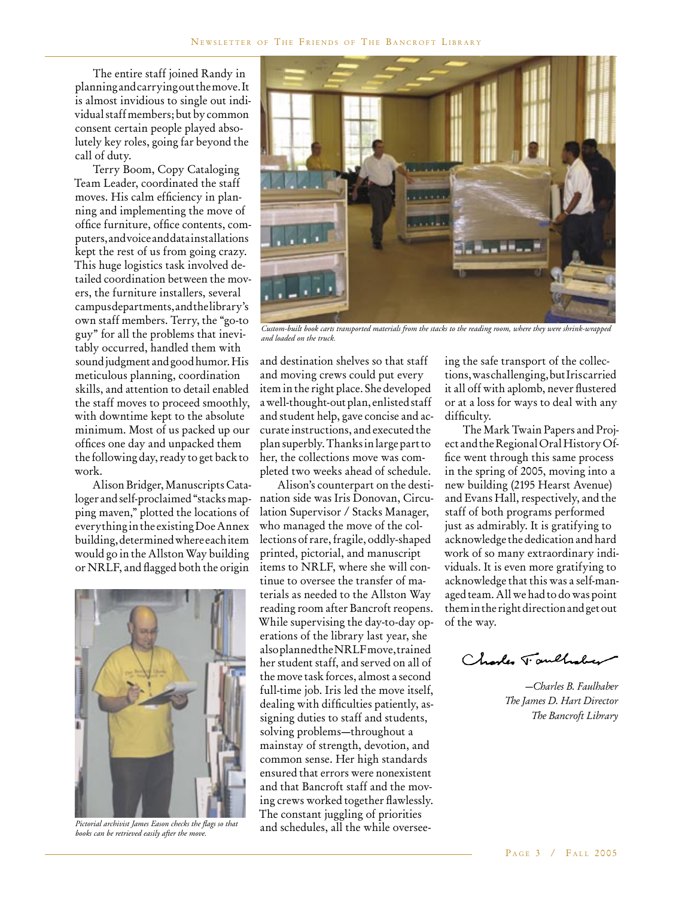The entire staff joined Randy in planning and carrying out the move. It is almost invidious to single out individual staff members; but by common consent certain people played absolutely key roles, going far beyond the call of duty.

Terry Boom, Copy Cataloging Team Leader, coordinated the staff moves. His calm efficiency in planning and implementing the move of office furniture, office contents, computers, and voice and data installations kept the rest of us from going crazy. This huge logistics task involved detailed coordination between the movers, the furniture installers, several campus departments, and the library's own staff members. Terry, the "go-to guy" for all the problems that inevitably occurred, handled them with sound judgment and good humor. His meticulous planning, coordination skills, and attention to detail enabled the staff moves to proceed smoothly, with downtime kept to the absolute minimum. Most of us packed up our offices one day and unpacked them the following day, ready to get back to work.

Alison Bridger, Manuscripts Cataloger and self-proclaimed "stacks mapping maven," plotted the locations of everything in the existing Doe Annex building, determined where each item would go in the Allston Way building or NRLF, and flagged both the origin



*Pictorial archivist James Eason checks the flags so that books can be retrieved easily after the move.*



*Custom-built book carts transported materials from the stacks to the reading room, where they were shrink-wrapped and loaded on the truck.*

and destination shelves so that staff and moving crews could put every item in the right place. She developed a well-thought-out plan, enlisted staff and student help, gave concise and accurate instructions, and executed the plan superbly. Thanks in large part to her, the collections move was completed two weeks ahead of schedule.

Alison's counterpart on the destination side was Iris Donovan, Circulation Supervisor / Stacks Manager, who managed the move of the collections of rare, fragile, oddly-shaped printed, pictorial, and manuscript items to NRLF, where she will continue to oversee the transfer of materials as needed to the Allston Way reading room after Bancroft reopens. While supervising the day-to-day operations of the library last year, she also planned the NRLF move, trained her student staff, and served on all of the move task forces, almost a second full-time job. Iris led the move itself, dealing with difficulties patiently, assigning duties to staff and students, solving problems—throughout a mainstay of strength, devotion, and common sense. Her high standards ensured that errors were nonexistent and that Bancroft staff and the moving crews worked together flawlessly. The constant juggling of priorities and schedules, all the while overseeing the safe transport of the collections, was challenging, but Iris carried it all off with aplomb, never flustered or at a loss for ways to deal with any difficulty.

The Mark Twain Papers and Project and the Regional Oral History Office went through this same process in the spring of 2005, moving into a new building (2195 Hearst Avenue) and Evans Hall, respectively, and the staff of both programs performed just as admirably. It is gratifying to acknowledge the dedication and hard work of so many extraordinary individuals. It is even more gratifying to acknowledge that this was a self-managed team. All we had to do was point them in the right direction and get out of the way.

Charles Taulholay

*—Charles B. Faulhaber The James D. Hart Director The Bancroft Library*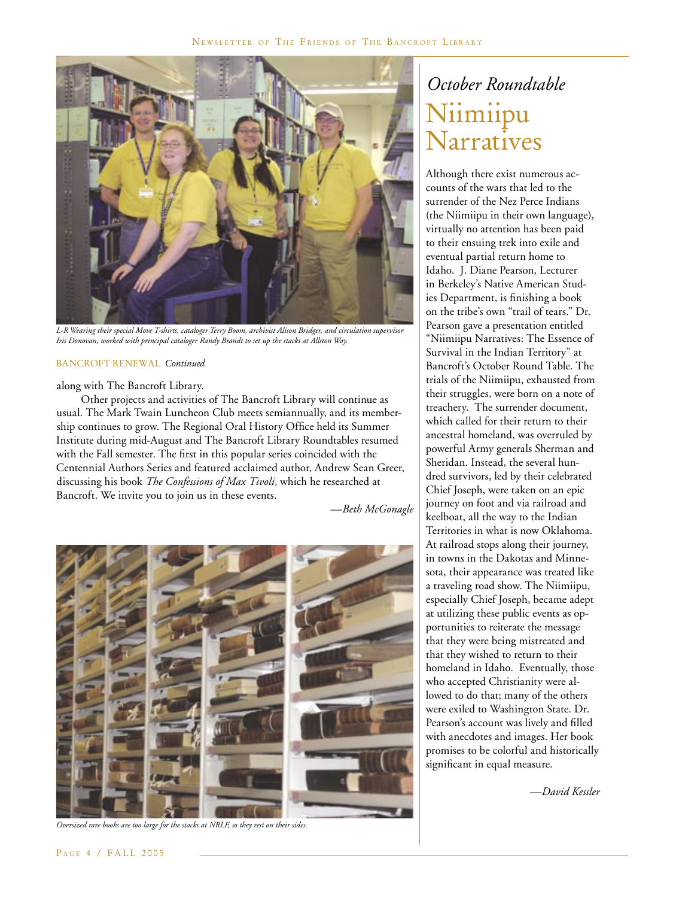

*L-R Wearing their special Move T-shirts, cataloger Terry Boom, archivist Alison Bridger, and circulation supervisor Iris Donovan, worked with principal cataloger Randy Brandt to set up the stacks at Allston Way.* 

#### BANCROFT RENEWAL *Continued*

along with The Bancroft Library.

 Other projects and activities of The Bancroft Library will continue as usual. The Mark Twain Luncheon Club meets semiannually, and its membership continues to grow. The Regional Oral History Office held its Summer Institute during mid-August and The Bancroft Library Roundtables resumed with the Fall semester. The first in this popular series coincided with the Centennial Authors Series and featured acclaimed author, Andrew Sean Greer, discussing his book *The Confessions of Max Tivoli,* which he researched at Bancroft. We invite you to join us in these events.

*—Beth McGonagle*



*Oversized rare books are too large for the stacks at NRLF, so they rest on their sides.*

## *October Roundtable* Niimiipu Narratives

Although there exist numerous accounts of the wars that led to the surrender of the Nez Perce Indians (the Niimiipu in their own language), virtually no attention has been paid to their ensuing trek into exile and eventual partial return home to Idaho. J. Diane Pearson, Lecturer in Berkeley's Native American Studies Department, is finishing a book on the tribe's own "trail of tears." Dr. Pearson gave a presentation entitled "Niimiipu Narratives: The Essence of Survival in the Indian Territory" at Bancroft's October Round Table. The trials of the Niimiipu, exhausted from their struggles, were born on a note of treachery. The surrender document, which called for their return to their ancestral homeland, was overruled by powerful Army generals Sherman and Sheridan. Instead, the several hundred survivors, led by their celebrated Chief Joseph, were taken on an epic journey on foot and via railroad and keelboat, all the way to the Indian Territories in what is now Oklahoma. At railroad stops along their journey, in towns in the Dakotas and Minnesota, their appearance was treated like a traveling road show. The Niimiipu, especially Chief Joseph, became adept at utilizing these public events as opportunities to reiterate the message that they were being mistreated and that they wished to return to their homeland in Idaho. Eventually, those who accepted Christianity were allowed to do that; many of the others were exiled to Washington State. Dr. Pearson's account was lively and filled with anecdotes and images. Her book promises to be colorful and historically significant in equal measure.

*—David Kessler*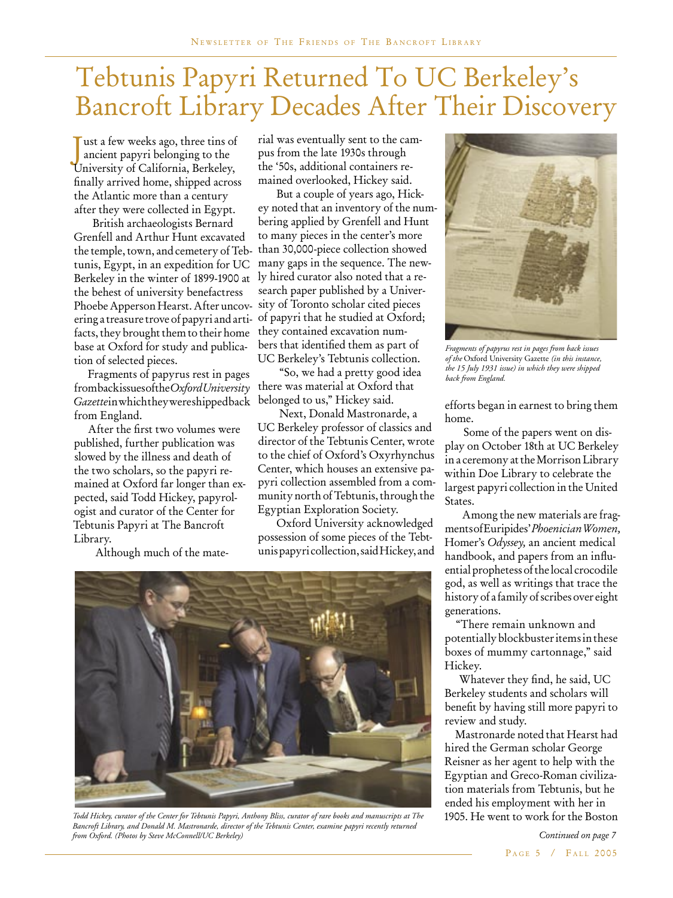# Tebtunis Papyri Returned To UC Berkeley's Bancroft Library Decades After Their Discovery

J ust a few weeks ago, three tins of ancient papyri belonging to the University of California, Berkeley, finally arrived home, shipped across the Atlantic more than a century after they were collected in Egypt.

British archaeologists Bernard Grenfell and Arthur Hunt excavated the temple, town, and cemetery of Tebtunis, Egypt, in an expedition for UC Berkeley in the winter of 1899-1900 at the behest of university benefactress Phoebe Apperson Hearst. After uncovering a treasure trove of papyri and artifacts, they brought them to their home base at Oxford for study and publication of selected pieces.

 Fragments of papyrus rest in pages from back issues of the *Oxford University*  Gazettein which they were shipped back from England.

 After the first two volumes were published, further publication was slowed by the illness and death of the two scholars, so the papyri remained at Oxford far longer than expected, said Todd Hickey, papyrologist and curator of the Center for Tebtunis Papyri at The Bancroft Library.

Although much of the mate-

rial was eventually sent to the campus from the late 1930s through the '50s, additional containers remained overlooked, Hickey said.

But a couple of years ago, Hickey noted that an inventory of the numbering applied by Grenfell and Hunt to many pieces in the center's more than 30,000-piece collection showed many gaps in the sequence. The newly hired curator also noted that a research paper published by a University of Toronto scholar cited pieces of papyri that he studied at Oxford; they contained excavation numbers that identified them as part of UC Berkeley's Tebtunis collection.

 "So, we had a pretty good idea there was material at Oxford that belonged to us," Hickey said.

 Next, Donald Mastronarde, a UC Berkeley professor of classics and director of the Tebtunis Center, wrote to the chief of Oxford's Oxyrhynchus Center, which houses an extensive papyri collection assembled from a community north of Tebtunis, through the Egyptian Exploration Society.

Oxford University acknowledged possession of some pieces of the Tebtunis papyri collection, said Hickey, and



*Todd Hickey, curator of the Center for Tebtunis Papyri, Anthony Bliss, curator of rare books and manuscripts at The* 1905. He went to work for the Boston *Bancroft Library, and Donald M. Mastronarde, director of the Tebtunis Center, examine papyri recently returned from Oxford. (Photos by Steve McConnell/UC Berkeley)*



*Fragments of papyrus rest in pages from back issues of the* Oxford University Gazette *(in this instance, the 15 July 1931 issue) in which they were shipped back from England.*

efforts began in earnest to bring them home.

Some of the papers went on display on October 18th at UC Berkeley in a ceremony at the Morrison Library within Doe Library to celebrate the largest papyri collection in the United States.

Among the new materials are fragments of Euripides' *Phoenician Women,* Homer's *Odyssey,* an ancient medical handbook, and papers from an influential prophetess of the local crocodile god, as well as writings that trace the history of a family of scribes over eight generations.

"There remain unknown and potentially blockbuster items in these boxes of mummy cartonnage," said Hickey.

 Whatever they find, he said, UC Berkeley students and scholars will benefit by having still more papyri to review and study.

 Mastronarde noted that Hearst had hired the German scholar George Reisner as her agent to help with the Egyptian and Greco-Roman civilization materials from Tebtunis, but he ended his employment with her in

> PAGE 5 / FALL 2005 *Continued on page 7*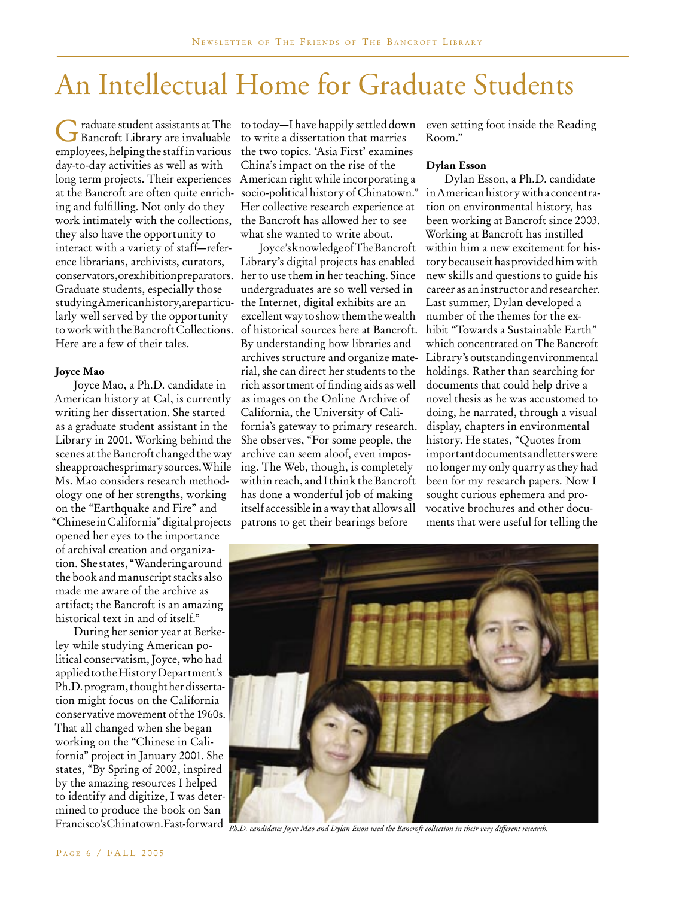# An Intellectual Home for Graduate Students

Graduate student assistants at The Bancroft Library are invaluable employees, helping the staff in various day-to-day activities as well as with long term projects. Their experiences at the Bancroft are often quite enriching and fulfilling. Not only do they work intimately with the collections, they also have the opportunity to interact with a variety of staff—reference librarians, archivists, curators, conservators, or exhibition preparators. Graduate students, especially those studying American history, are particu-the Internet, digital exhibits are an larly well served by the opportunity to work with the Bancroft Collections. Here are a few of their tales.

### **Joyce Mao**

Joyce Mao, a Ph.D. candidate in American history at Cal, is currently writing her dissertation. She started as a graduate student assistant in the Library in 2001. Working behind the scenes at the Bancroft changed the way she approaches primary sources. While Ms. Mao considers research methodology one of her strengths, working on the "Earthquake and Fire" and "Chinese in California" digital projects opened her eyes to the importance of archival creation and organization. She states, "Wandering around the book and manuscript stacks also made me aware of the archive as artifact; the Bancroft is an amazing historical text in and of itself."

During her senior year at Berkeley while studying American political conservatism, Joyce, who had applied to the History Department's Ph.D. program, thought her dissertation might focus on the California conservative movement of the 1960s. That all changed when she began working on the "Chinese in California" project in January 2001. She states, "By Spring of 2002, inspired by the amazing resources I helped to identify and digitize, I was determined to produce the book on San Francisco's Chinatown. Fast-forward

to today—I have happily settled down even setting foot inside the Reading to write a dissertation that marries the two topics. 'Asia First' examines China's impact on the rise of the American right while incorporating a socio-political history of Chinatown." Her collective research experience at the Bancroft has allowed her to see what she wanted to write about.

Joyce's knowledge of The Bancroft Library's digital projects has enabled her to use them in her teaching. Since undergraduates are so well versed in excellent way to show them the wealth of historical sources here at Bancroft. By understanding how libraries and archives structure and organize material, she can direct her students to the rich assortment of finding aids as well as images on the Online Archive of California, the University of California's gateway to primary research. display, chapters in environmental She observes, "For some people, the archive can seem aloof, even imposing. The Web, though, is completely within reach, and I think the Bancroft has done a wonderful job of making itself accessible in a way that allows all patrons to get their bearings before

Room."

#### **Dylan Esson**

Dylan Esson, a Ph.D. candidate in American history with a concentration on environmental history, has been working at Bancroft since 2003. Working at Bancroft has instilled within him a new excitement for history because it has provided him with new skills and questions to guide his career as an instructor and researcher. Last summer, Dylan developed a number of the themes for the exhibit "Towards a Sustainable Earth" which concentrated on The Bancroft Library's outstanding environmental holdings. Rather than searching for documents that could help drive a novel thesis as he was accustomed to doing, he narrated, through a visual history. He states, "Quotes from important documents and letters were no longer my only quarry as they had been for my research papers. Now I sought curious ephemera and provocative brochures and other documents that were useful for telling the



*Ph.D. candidates Joyce Mao and Dylan Esson used the Bancroft collection in their very different research.*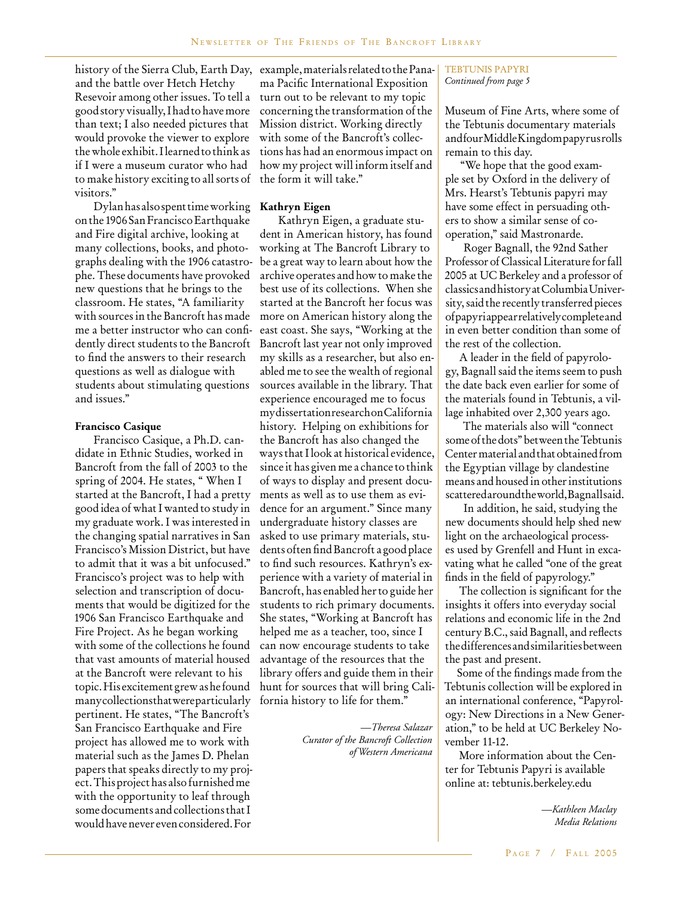history of the Sierra Club, Earth Day, example, materials related to the Panaand the battle over Hetch Hetchy Resevoir among other issues. To tell a good story visually, I had to have more than text; I also needed pictures that would provoke the viewer to explore the whole exhibit. I learned to think as if I were a museum curator who had to make history exciting to all sorts of visitors."

Dylan has also spent time working on the 1906 San Francisco Earthquake and Fire digital archive, looking at many collections, books, and photographs dealing with the 1906 catastrophe. These documents have provoked new questions that he brings to the classroom. He states, "A familiarity with sources in the Bancroft has made me a better instructor who can confidently direct students to the Bancroft to find the answers to their research questions as well as dialogue with students about stimulating questions and issues."

#### **Francisco Casique**

Francisco Casique, a Ph.D. candidate in Ethnic Studies, worked in Bancroft from the fall of 2003 to the spring of 2004. He states, " When I started at the Bancroft, I had a pretty good idea of what I wanted to study in my graduate work. I was interested in the changing spatial narratives in San Francisco's Mission District, but have to admit that it was a bit unfocused." Francisco's project was to help with selection and transcription of documents that would be digitized for the 1906 San Francisco Earthquake and Fire Project. As he began working with some of the collections he found that vast amounts of material housed at the Bancroft were relevant to his topic. His excitement grew as he found many collections that were particularly pertinent. He states, "The Bancroft's San Francisco Earthquake and Fire project has allowed me to work with material such as the James D. Phelan papers that speaks directly to my project. This project has also furnished me with the opportunity to leaf through some documents and collections that I would have never even considered. For

ma Pacific International Exposition turn out to be relevant to my topic concerning the transformation of the Mission district. Working directly with some of the Bancroft's collections has had an enormous impact on how my project will inform itself and the form it will take."

### **Kathryn Eigen**

Kathryn Eigen, a graduate student in American history, has found working at The Bancroft Library to be a great way to learn about how the archive operates and how to make the best use of its collections. When she started at the Bancroft her focus was more on American history along the east coast. She says, "Working at the Bancroft last year not only improved my skills as a researcher, but also enabled me to see the wealth of regional sources available in the library. That experience encouraged me to focus my dissertation research on California history. Helping on exhibitions for the Bancroft has also changed the ways that I look at historical evidence, since it has given me a chance to think of ways to display and present documents as well as to use them as evidence for an argument." Since many undergraduate history classes are asked to use primary materials, students often find Bancroft a good place to find such resources. Kathryn's experience with a variety of material in Bancroft, has enabled her to guide her students to rich primary documents. She states, "Working at Bancroft has helped me as a teacher, too, since I can now encourage students to take advantage of the resources that the library offers and guide them in their hunt for sources that will bring California history to life for them."

> *—Theresa Salazar Curator of the Bancroft Collection of Western Americana*

#### TEBTUNIS PAPYRI *Continued from page 5*

Museum of Fine Arts, where some of the Tebtunis documentary materials and four Middle Kingdom papyrus rolls remain to this day.

"We hope that the good example set by Oxford in the delivery of Mrs. Hearst's Tebtunis papyri may have some effect in persuading others to show a similar sense of cooperation," said Mastronarde.

Roger Bagnall, the 92nd Sather Professor of Classical Literature for fall 2005 at UC Berkeley and a professor of classics and history at Columbia University, said the recently transferred pieces of papyri appear relatively complete and in even better condition than some of the rest of the collection.

 A leader in the field of papyrology, Bagnall said the items seem to push the date back even earlier for some of the materials found in Tebtunis, a village inhabited over 2,300 years ago.

The materials also will "connect some of the dots" between the Tebtunis Center material and that obtained from the Egyptian village by clandestine means and housed in other institutions scattered around the world, Bagnall said.

In addition, he said, studying the new documents should help shed new light on the archaeological processes used by Grenfell and Hunt in excavating what he called "one of the great finds in the field of papyrology."

 The collection is significant for the insights it offers into everyday social relations and economic life in the 2nd century B.C., said Bagnall, and reflects the differences and similarities between the past and present.

 Some of the findings made from the Tebtunis collection will be explored in an international conference, "Papyrology: New Directions in a New Generation," to be held at UC Berkeley November 11-12.

 More information about the Center for Tebtunis Papyri is available online at: tebtunis.berkeley.edu

> *—Kathleen Maclay Media Relations*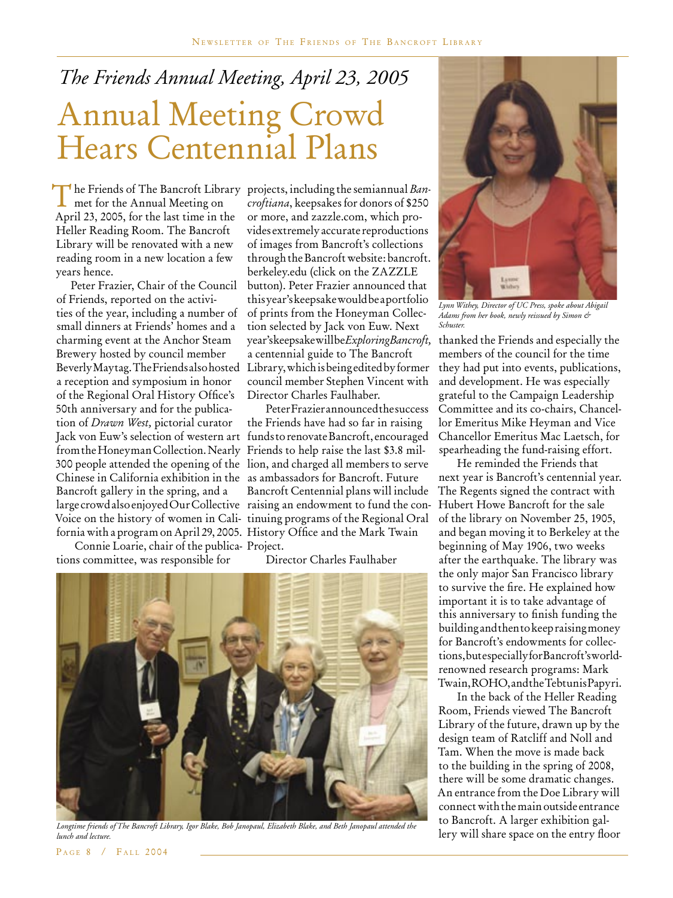# *The Friends Annual Meeting, April 23, 2005* Annual Meeting Crowd Hears Centennial Plans

The Friends of The Bancroft Library projects, including the semiannual *Ban*met for the Annual Meeting on *croftiana*, keepsakes for donors of \$250 met for the Annual Meeting on April 23, 2005, for the last time in the Heller Reading Room. The Bancroft Library will be renovated with a new reading room in a new location a few years hence.

 Peter Frazier, Chair of the Council of Friends, reported on the activities of the year, including a number of small dinners at Friends' homes and a charming event at the Anchor Steam Brewery hosted by council member a reception and symposium in honor of the Regional Oral History Office's 50th anniversary and for the publication of *Drawn West,* pictorial curator Jack von Euw's selection of western art funds to renovate Bancroft, encouraged from the Honeyman Collection. Nearly Friends to help raise the last \$3.8 mil-300 people attended the opening of the lion, and charged all members to serve Chinese in California exhibition in the as ambassadors for Bancroft. Future Bancroft gallery in the spring, and a large crowd also enjoyed Our Collective raising an endowment to fund the con-Voice on the history of women in Cali-tinuing programs of the Regional Oral fornia with a program on April 29, 2005. History Office and the Mark Twain

Connie Loarie, chair of the publica-Project. tions committee, was responsible for

Beverly Maytag. The Friends also hosted Library, which is being edited by former *croftiana*, keepsakes for donors of \$250 or more, and zazzle.com, which provides extremely accurate reproductions of images from Bancroft's collections through the Bancroft website: bancroft. berkeley.edu (click on the ZAZZLE button). Peter Frazier announced that this year's keepsake would be a portfolio of prints from the Honeyman Collection selected by Jack von Euw. Next year's keepsake will be *Exploring Bancroft,*  a centennial guide to The Bancroft council member Stephen Vincent with Director Charles Faulhaber.

> Peter Frazier announced the success the Friends have had so far in raising Bancroft Centennial plans will include

### Director Charles Faulhaber



*Longtime friends of The Bancroft Library, Igor Blake, Bob Janopaul, Elizabeth Blake, and Beth Janopaul attended the lunch and lecture.*



*Lynn Withey, Director of UC Press, spoke about Abigail Adams from her book, newly reissued by Simon & Schuster.*

thanked the Friends and especially the members of the council for the time they had put into events, publications, and development. He was especially grateful to the Campaign Leadership Committee and its co-chairs, Chancellor Emeritus Mike Heyman and Vice Chancellor Emeritus Mac Laetsch, for spearheading the fund-raising effort.

He reminded the Friends that next year is Bancroft's centennial year. The Regents signed the contract with Hubert Howe Bancroft for the sale of the library on November 25, 1905, and began moving it to Berkeley at the beginning of May 1906, two weeks after the earthquake. The library was the only major San Francisco library to survive the fire. He explained how important it is to take advantage of this anniversary to finish funding the building and then to keep raising money for Bancroft's endowments for collections, but especially for Bancroft's worldrenowned research programs: Mark Twain, ROHO, and the Tebtunis Papyri.

In the back of the Heller Reading Room, Friends viewed The Bancroft Library of the future, drawn up by the design team of Ratcliff and Noll and Tam. When the move is made back to the building in the spring of 2008, there will be some dramatic changes. An entrance from the Doe Library will connect with the main outside entrance to Bancroft. A larger exhibition gallery will share space on the entry floor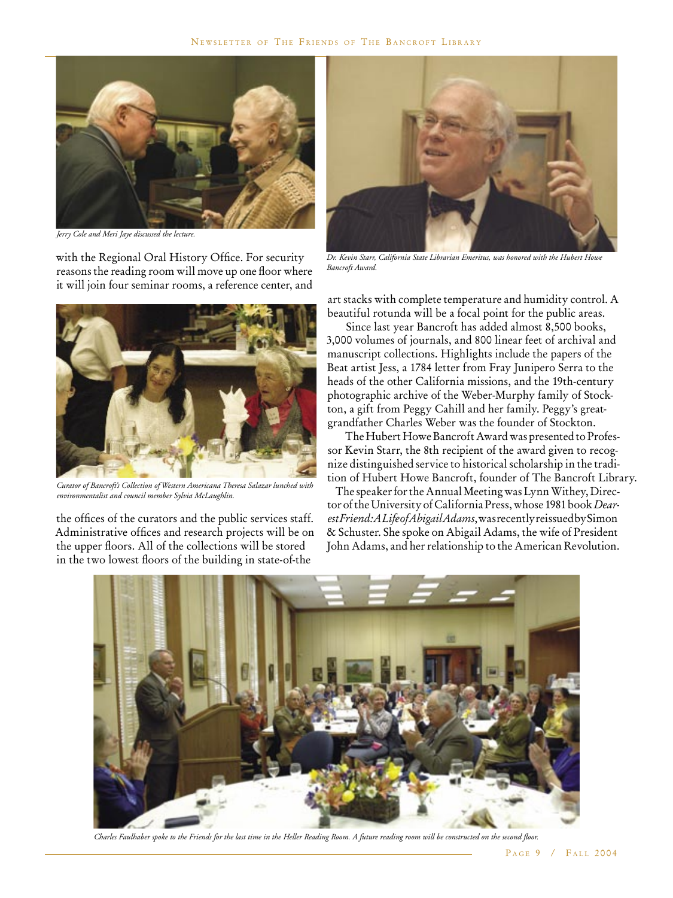

*Jerry Cole and Meri Jaye discussed the lecture.*

with the Regional Oral History Office. For security reasons the reading room will move up one floor where it will join four seminar rooms, a reference center, and



*Curator of Bancroft's Collection of Western Americana Theresa Salazar lunched with environmentalist and council member Sylvia McLaughlin.*

the offices of the curators and the public services staff. Administrative offices and research projects will be on the upper floors. All of the collections will be stored in the two lowest floors of the building in state-of-the



*Dr. Kevin Starr, California State Librarian Emeritus, was honored with the Hubert Howe Bancroft Award.*

art stacks with complete temperature and humidity control. A beautiful rotunda will be a focal point for the public areas.

Since last year Bancroft has added almost 8,500 books, 3,000 volumes of journals, and 800 linear feet of archival and manuscript collections. Highlights include the papers of the Beat artist Jess, a 1784 letter from Fray Junipero Serra to the heads of the other California missions, and the 19th-century photographic archive of the Weber-Murphy family of Stockton, a gift from Peggy Cahill and her family. Peggy's greatgrandfather Charles Weber was the founder of Stockton.

The Hubert Howe Bancroft Award was presented to Professor Kevin Starr, the 8th recipient of the award given to recognize distinguished service to historical scholarship in the tradition of Hubert Howe Bancroft, founder of The Bancroft Library.

 The speaker for the Annual Meeting was Lynn Withey, Director of the University of California Press, whose 1981 book *Dearest Friend: A Life of Abigail Adams*, was recently reissued by Simon & Schuster. She spoke on Abigail Adams, the wife of President John Adams, and her relationship to the American Revolution.



*Charles Faulhaber spoke to the Friends for the last time in the Heller Reading Room. A future reading room will be constructed on the second floor.*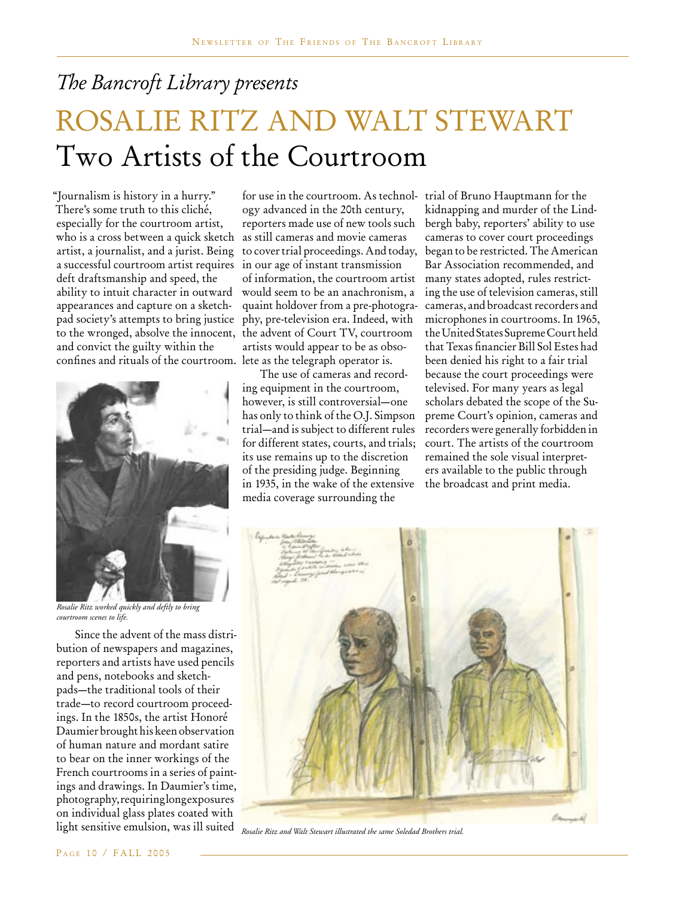### *The Bancroft Library presents*

# ROSALIE RITZ AND WALT STEWART Two Artists of the Courtroom

"Journalism is history in a hurry." There's some truth to this cliché, especially for the courtroom artist, who is a cross between a quick sketch artist, a journalist, and a jurist. Being a successful courtroom artist requires deft draftsmanship and speed, the ability to intuit character in outward appearances and capture on a sketchpad society's attempts to bring justice to the wronged, absolve the innocent, and convict the guilty within the confines and rituals of the courtroom.



*Rosalie Ritz worked quickly and deftly to bring courtroom scenes to life.*

Since the advent of the mass distribution of newspapers and magazines, reporters and artists have used pencils and pens, notebooks and sketchpads—the traditional tools of their trade—to record courtroom proceedings. In the 1850s, the artist Honoré Daumier brought his keen observation of human nature and mordant satire to bear on the inner workings of the French courtrooms in a series of paintings and drawings. In Daumier's time, photography, requiring long exposures on individual glass plates coated with

for use in the courtroom. As technol-trial of Bruno Hauptmann for the ogy advanced in the 20th century, reporters made use of new tools such as still cameras and movie cameras to cover trial proceedings. And today, in our age of instant transmission of information, the courtroom artist many states adopted, rules restrictwould seem to be an anachronism, a quaint holdover from a pre-photography, pre-television era. Indeed, with the advent of Court TV, courtroom artists would appear to be as obsolete as the telegraph operator is.

The use of cameras and recording equipment in the courtroom, however, is still controversial—one has only to think of the O.J. Simpson trial—and is subject to different rules for different states, courts, and trials; its use remains up to the discretion of the presiding judge. Beginning in 1935, in the wake of the extensive media coverage surrounding the

kidnapping and murder of the Lindbergh baby, reporters' ability to use cameras to cover court proceedings began to be restricted. The American Bar Association recommended, and ing the use of television cameras, still cameras, and broadcast recorders and microphones in courtrooms. In 1965, the United States Supreme Court held that Texas financier Bill Sol Estes had been denied his right to a fair trial because the court proceedings were televised. For many years as legal scholars debated the scope of the Supreme Court's opinion, cameras and recorders were generally forbidden in court. The artists of the courtroom remained the sole visual interpreters available to the public through the broadcast and print media.



light sensitive emulsion, was ill suited *Rosalie Ritz and Walt Stewart illustrated the same Soledad Brothers trial.*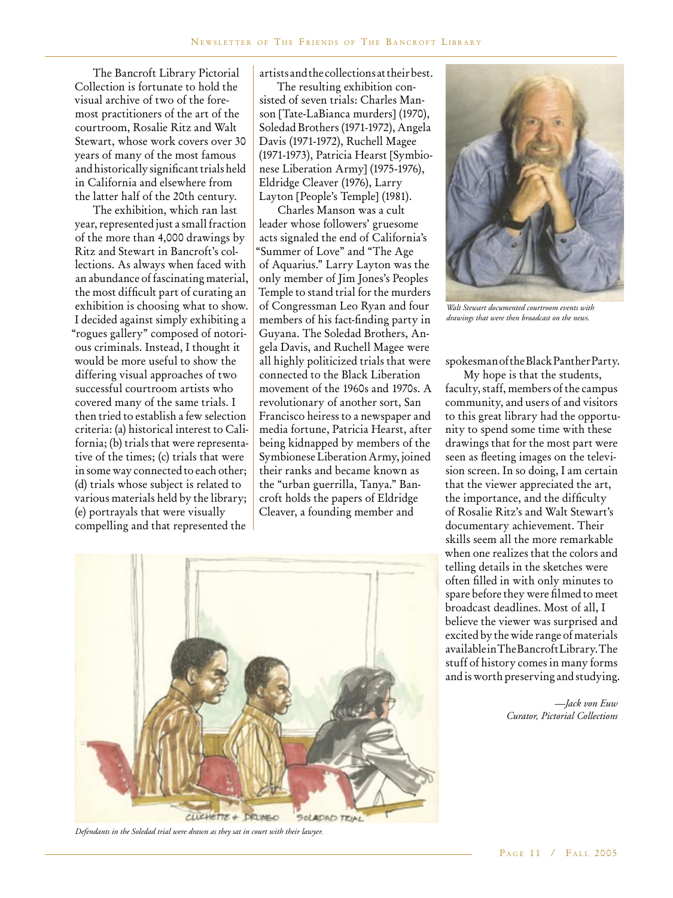The Bancroft Library Pictorial Collection is fortunate to hold the visual archive of two of the foremost practitioners of the art of the courtroom, Rosalie Ritz and Walt Stewart, whose work covers over 30 years of many of the most famous and historically significant trials held in California and elsewhere from the latter half of the 20th century.

The exhibition, which ran last year, represented just a small fraction of the more than 4,000 drawings by Ritz and Stewart in Bancroft's collections. As always when faced with an abundance of fascinating material, the most difficult part of curating an exhibition is choosing what to show. I decided against simply exhibiting a "rogues gallery" composed of notorious criminals. Instead, I thought it would be more useful to show the differing visual approaches of two successful courtroom artists who covered many of the same trials. I then tried to establish a few selection criteria: (a) historical interest to California; (b) trials that were representative of the times; (c) trials that were in some way connected to each other; (d) trials whose subject is related to various materials held by the library; (e) portrayals that were visually compelling and that represented the

artists and the collections at their best.

The resulting exhibition consisted of seven trials: Charles Manson [Tate-LaBianca murders] (1970), Soledad Brothers (1971-1972), Angela Davis (1971-1972), Ruchell Magee (1971-1973), Patricia Hearst [Symbionese Liberation Army] (1975-1976), Eldridge Cleaver (1976), Larry Layton [People's Temple] (1981).

Charles Manson was a cult leader whose followers' gruesome acts signaled the end of California's "Summer of Love" and "The Age of Aquarius." Larry Layton was the only member of Jim Jones's Peoples Temple to stand trial for the murders of Congressman Leo Ryan and four members of his fact-finding party in Guyana. The Soledad Brothers, Angela Davis, and Ruchell Magee were all highly politicized trials that were connected to the Black Liberation movement of the 1960s and 1970s. A revolutionary of another sort, San Francisco heiress to a newspaper and media fortune, Patricia Hearst, after being kidnapped by members of the Symbionese Liberation Army, joined their ranks and became known as the "urban guerrilla, Tanya." Bancroft holds the papers of Eldridge Cleaver, a founding member and



*Defendants in the Soledad trial were drawn as they sat in court with their lawyer.*



*Walt Stewart documented courtroom events with drawings that were then broadcast on the news.*

spokesman of the Black Panther Party.

My hope is that the students, faculty, staff, members of the campus community, and users of and visitors to this great library had the opportunity to spend some time with these drawings that for the most part were seen as fleeting images on the television screen. In so doing, I am certain that the viewer appreciated the art, the importance, and the difficulty of Rosalie Ritz's and Walt Stewart's documentary achievement. Their skills seem all the more remarkable when one realizes that the colors and telling details in the sketches were often filled in with only minutes to spare before they were filmed to meet broadcast deadlines. Most of all, I believe the viewer was surprised and excited by the wide range of materials available in The Bancroft Library. The stuff of history comes in many forms and is worth preserving and studying.

> *—Jack von Euw Curator, Pictorial Collections*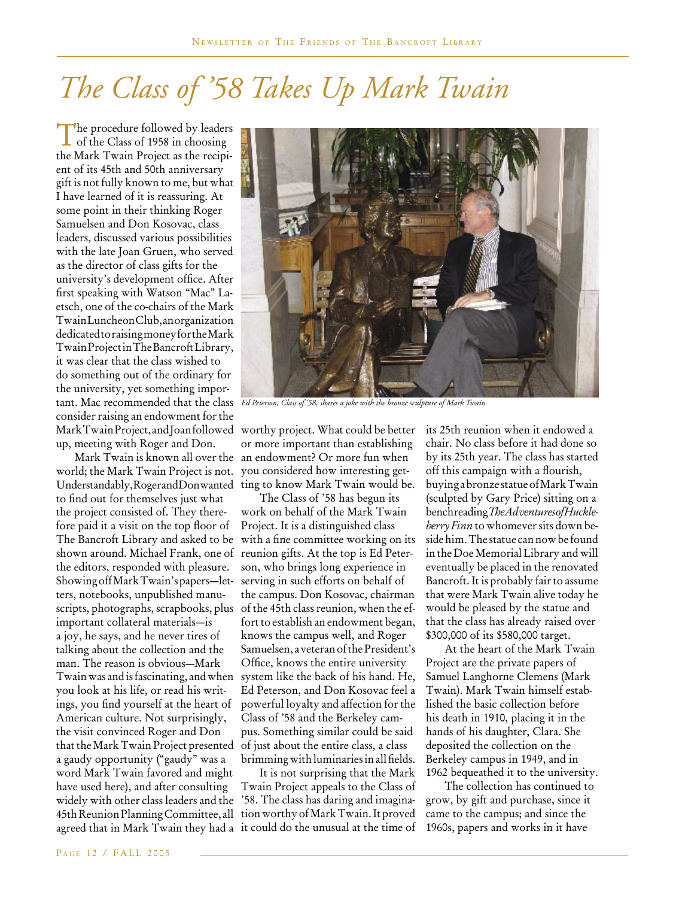# *The Class of '58 Takes Up Mark Twain*

The procedure followed by leaders<br>of the Class of 1958 in choosing the Mark Twain Project as the recipient of its 45th and 50th anniversary gift is not fully known to me, but what I have learned of it is reassuring. At some point in their thinking Roger Samuelsen and Don Kosovac, class leaders, discussed various possibilities with the late Joan Gruen, who served as the director of class gifts for the university's development office. After first speaking with Watson "Mac" Laetsch, one of the co-chairs of the Mark Twain Luncheon Club, an organization dedicated to raising money for the Mark Twain Project in The Bancroft Library, it was clear that the class wished to do something out of the ordinary for the university, yet something imporconsider raising an endowment for the Mark Twain Project, and Joan followed up, meeting with Roger and Don.

Mark Twain is known all over the world; the Mark Twain Project is not. Understandably, Roger and Don wanted to find out for themselves just what the project consisted of. They therefore paid it a visit on the top floor of The Bancroft Library and asked to be shown around. Michael Frank, one of the editors, responded with pleasure. Showing off Mark Twain's papers—letters, notebooks, unpublished manuscripts, photographs, scrapbooks, plus important collateral materials—is a joy, he says, and he never tires of talking about the collection and the man. The reason is obvious—Mark Twain was and is fascinating, and when you look at his life, or read his writings, you find yourself at the heart of American culture. Not surprisingly, the visit convinced Roger and Don that the Mark Twain Project presented a gaudy opportunity ("gaudy" was a word Mark Twain favored and might have used here), and after consulting widely with other class leaders and the 45th Reunion Planning Committee, all tion worthy of Mark Twain. It proved



tant. Mac recommended that the class *Ed Peterson, Class of '58, shares a joke with the bronze sculpture of Mark Twain.*

worthy project. What could be better or more important than establishing an endowment? Or more fun when you considered how interesting getting to know Mark Twain would be.

The Class of '58 has begun its work on behalf of the Mark Twain Project. It is a distinguished class with a fine committee working on its reunion gifts. At the top is Ed Peterson, who brings long experience in serving in such efforts on behalf of the campus. Don Kosovac, chairman of the 45th class reunion, when the effort to establish an endowment began, knows the campus well, and Roger Samuelsen, a veteran of the President's Office, knows the entire university system like the back of his hand. He, Ed Peterson, and Don Kosovac feel a powerful loyalty and affection for the Class of '58 and the Berkeley campus. Something similar could be said of just about the entire class, a class brimming with luminaries in all fields.

agreed that in Mark Twain they had a it could do the unusual at the time of It is not surprising that the Mark Twain Project appeals to the Class of '58. The class has daring and imagina-

its 25th reunion when it endowed a chair. No class before it had done so by its 25th year. The class has started off this campaign with a flourish, buying a bronze statue of Mark Twain (sculpted by Gary Price) sitting on a bench reading *TheAdventures of Huckleberry Finn* to whomever sits down beside him. The statue can now be found in the Doe Memorial Library and will eventually be placed in the renovated Bancroft. It is probably fair to assume that were Mark Twain alive today he would be pleased by the statue and that the class has already raised over \$300,000 of its \$580,000 target.

At the heart of the Mark Twain Project are the private papers of Samuel Langhorne Clemens (Mark Twain). Mark Twain himself established the basic collection before his death in 1910, placing it in the hands of his daughter, Clara. She deposited the collection on the Berkeley campus in 1949, and in 1962 bequeathed it to the university.

The collection has continued to grow, by gift and purchase, since it came to the campus; and since the 1960s, papers and works in it have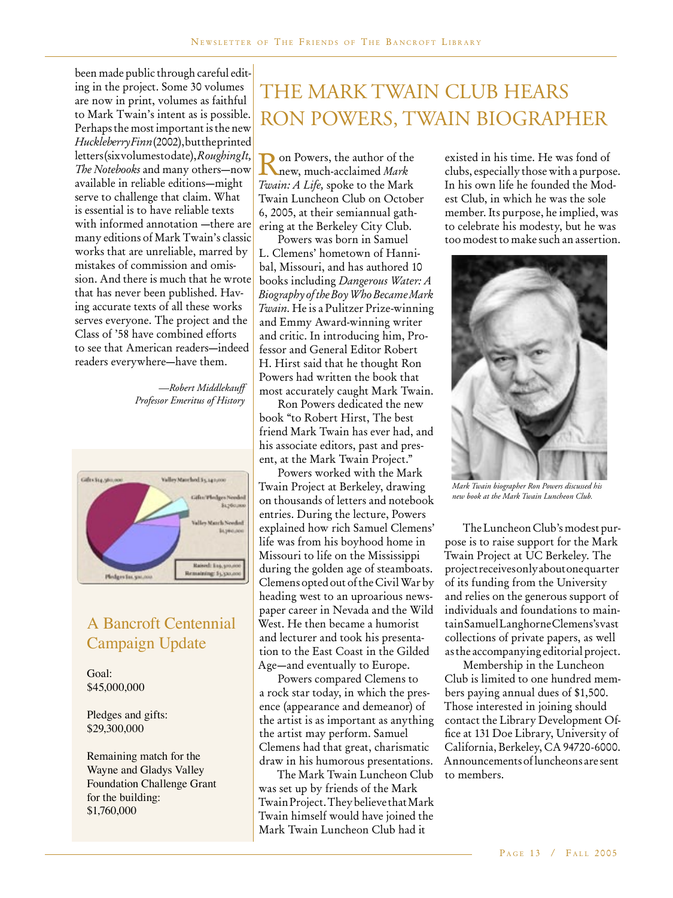been made public through careful editing in the project. Some 30 volumes are now in print, volumes as faithful to Mark Twain's intent as is possible. Perhaps the most important is the new *Huckleberry Finn* (2002), but the printed letters (six volumes to date), *Roughing It, The Notebooks* and many others—now available in reliable editions—might serve to challenge that claim. What is essential is to have reliable texts with informed annotation —there are many editions of Mark Twain's classic works that are unreliable, marred by mistakes of commission and omission. And there is much that he wrote that has never been published. Having accurate texts of all these works serves everyone. The project and the Class of '58 have combined efforts to see that American readers—indeed readers everywhere—have them.

> *—Robert Middlekauff Professor Emeritus of History*



### A Bancroft Centennial Campaign Update

Goal: \$45,000,000

Pledges and gifts: \$29,300,000

Remaining match for the Wayne and Gladys Valley Foundation Challenge Grant for the building: \$1,760,000

## THE MARK TWAIN CLUB HEARS RON POWERS, TWAIN BIOGRAPHER

Ron Powers, the author of the new, much-acclaimed *Mark Twain: A Life,* spoke to the Mark Twain Luncheon Club on October 6, 2005, at their semiannual gathering at the Berkeley City Club.

Powers was born in Samuel L. Clemens' hometown of Hannibal, Missouri, and has authored 10 books including *Dangerous Water: A Biography of the Boy Who Became Mark Twain.* He is a Pulitzer Prize-winning and Emmy Award-winning writer and critic. In introducing him, Professor and General Editor Robert H. Hirst said that he thought Ron Powers had written the book that most accurately caught Mark Twain.

Ron Powers dedicated the new book "to Robert Hirst, The best friend Mark Twain has ever had, and his associate editors, past and present, at the Mark Twain Project."

Powers worked with the Mark Twain Project at Berkeley, drawing on thousands of letters and notebook entries. During the lecture, Powers explained how rich Samuel Clemens' life was from his boyhood home in Missouri to life on the Mississippi during the golden age of steamboats. Clemens opted out of the Civil War by heading west to an uproarious newspaper career in Nevada and the Wild West. He then became a humorist and lecturer and took his presentation to the East Coast in the Gilded Age—and eventually to Europe.

Powers compared Clemens to a rock star today, in which the presence (appearance and demeanor) of the artist is as important as anything the artist may perform. Samuel Clemens had that great, charismatic draw in his humorous presentations.

The Mark Twain Luncheon Club was set up by friends of the Mark Twain Project. They believe that Mark Twain himself would have joined the Mark Twain Luncheon Club had it

existed in his time. He was fond of clubs, especially those with a purpose. In his own life he founded the Modest Club, in which he was the sole member. Its purpose, he implied, was to celebrate his modesty, but he was too modest to make such an assertion.



*Mark Twain biographer Ron Powers discussed his new book at the Mark Twain Luncheon Club.*

The Luncheon Club's modest purpose is to raise support for the Mark Twain Project at UC Berkeley. The project receives only about one quarter of its funding from the University and relies on the generous support of individuals and foundations to maintain Samuel Langhorne Clemens's vast collections of private papers, as well as the accompanying editorial project.

Membership in the Luncheon Club is limited to one hundred members paying annual dues of \$1,500. Those interested in joining should contact the Library Development Office at 131 Doe Library, University of California, Berkeley, CA 94720-6000. Announcements of luncheons are sent to members.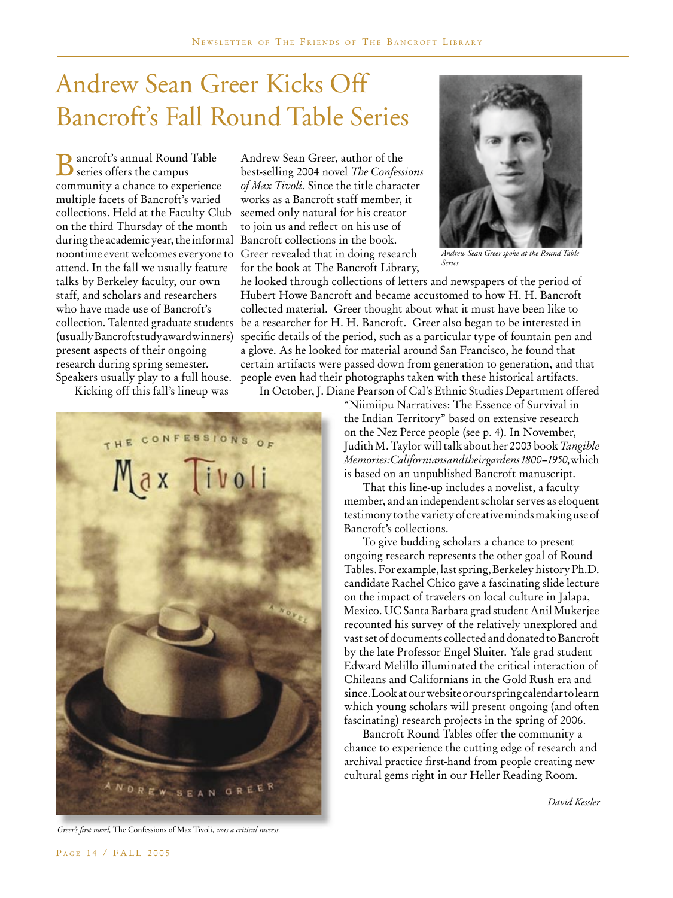## Andrew Sean Greer Kicks Off Bancroft's Fall Round Table Series

Bancroft's annual Round Table series offers the campus community a chance to experience multiple facets of Bancroft's varied collections. Held at the Faculty Club on the third Thursday of the month during the academic year, the informal noontime event welcomes everyone to attend. In the fall we usually feature talks by Berkeley faculty, our own staff, and scholars and researchers who have made use of Bancroft's collection. Talented graduate students (usually Bancroft study award winners) present aspects of their ongoing research during spring semester. Speakers usually play to a full house.

Kicking off this fall's lineup was

THE CONFESSIONS Max livoli **NDREW SEAN GREER** 

Andrew Sean Greer, author of the best-selling 2004 novel *The Confessions of Max Tivoli.* Since the title character works as a Bancroft staff member, it seemed only natural for his creator to join us and reflect on his use of Bancroft collections in the book. Greer revealed that in doing research for the book at The Bancroft Library,



*Andrew Sean Greer spoke at the Round Table Series.*

he looked through collections of letters and newspapers of the period of Hubert Howe Bancroft and became accustomed to how H. H. Bancroft collected material. Greer thought about what it must have been like to be a researcher for H. H. Bancroft. Greer also began to be interested in specific details of the period, such as a particular type of fountain pen and a glove. As he looked for material around San Francisco, he found that certain artifacts were passed down from generation to generation, and that people even had their photographs taken with these historical artifacts.

In October, J. Diane Pearson of Cal's Ethnic Studies Department offered

"Niimiipu Narratives: The Essence of Survival in the Indian Territory" based on extensive research on the Nez Perce people (see p. 4). In November, Judith M. Taylor will talk about her 2003 book *Tangible Memories: Californians and their gardens 1800–1950,* which is based on an unpublished Bancroft manuscript.

That this line-up includes a novelist, a faculty member, and an independent scholar serves as eloquent testimony to the variety of creative minds making use of Bancroft's collections.

To give budding scholars a chance to present ongoing research represents the other goal of Round Tables. For example, last spring, Berkeley history Ph.D. candidate Rachel Chico gave a fascinating slide lecture on the impact of travelers on local culture in Jalapa, Mexico. UC Santa Barbara grad student Anil Mukerjee recounted his survey of the relatively unexplored and vast set of documents collected and donated to Bancroft by the late Professor Engel Sluiter. Yale grad student Edward Melillo illuminated the critical interaction of Chileans and Californians in the Gold Rush era and since. Look at our website or our spring calendar to learn which young scholars will present ongoing (and often fascinating) research projects in the spring of 2006.

Bancroft Round Tables offer the community a chance to experience the cutting edge of research and archival practice first-hand from people creating new cultural gems right in our Heller Reading Room.

*—David Kessler*

Greer's first novel, The Confessions of Max Tivoli, was a critical success.

PAGE 14 / FALL 2005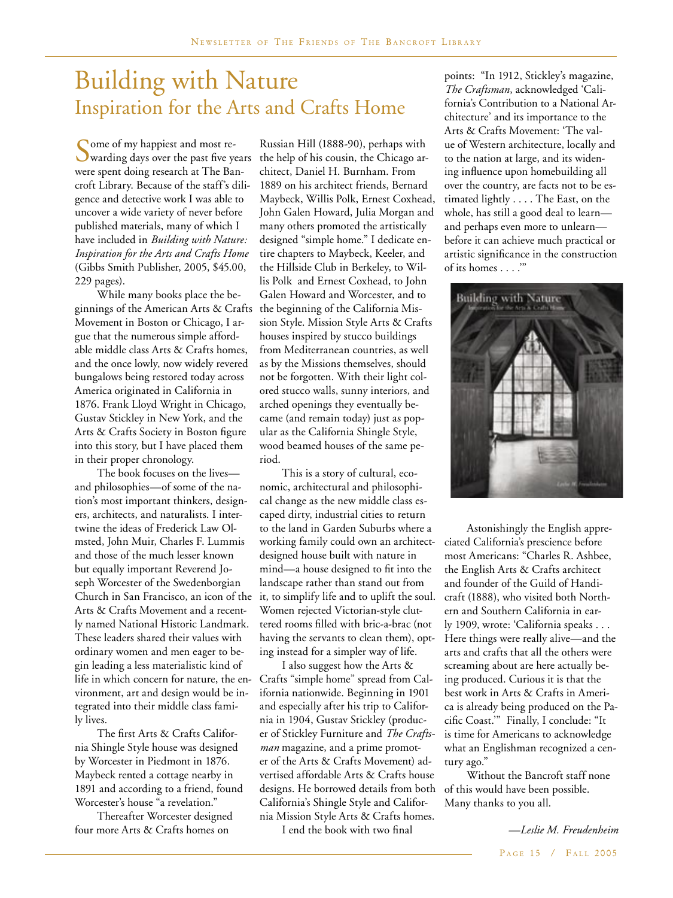### Building with Nature Inspiration for the Arts and Crafts Home

Some of my happiest and most re-<br>
Swarding days over the past five years were spent doing research at The Bancroft Library. Because of the staff's diligence and detective work I was able to uncover a wide variety of never before published materials, many of which I have included in *Building with Nature: Inspiration for the Arts and Crafts Home* (Gibbs Smith Publisher, 2005, \$45.00, 229 pages).

While many books place the beginnings of the American Arts & Crafts Movement in Boston or Chicago, I argue that the numerous simple affordable middle class Arts & Crafts homes, and the once lowly, now widely revered bungalows being restored today across America originated in California in 1876. Frank Lloyd Wright in Chicago, Gustav Stickley in New York, and the Arts & Crafts Society in Boston figure into this story, but I have placed them in their proper chronology.

The book focuses on the lives and philosophies—of some of the nation's most important thinkers, designers, architects, and naturalists. I intertwine the ideas of Frederick Law Olmsted, John Muir, Charles F. Lummis and those of the much lesser known but equally important Reverend Joseph Worcester of the Swedenborgian Church in San Francisco, an icon of the Arts & Crafts Movement and a recently named National Historic Landmark. These leaders shared their values with ordinary women and men eager to begin leading a less materialistic kind of life in which concern for nature, the environment, art and design would be integrated into their middle class family lives.

The first Arts & Crafts California Shingle Style house was designed by Worcester in Piedmont in 1876. Maybeck rented a cottage nearby in 1891 and according to a friend, found Worcester's house "a revelation."

Thereafter Worcester designed four more Arts & Crafts homes on

Russian Hill (1888-90), perhaps with the help of his cousin, the Chicago architect, Daniel H. Burnham. From 1889 on his architect friends, Bernard Maybeck, Willis Polk, Ernest Coxhead, John Galen Howard, Julia Morgan and many others promoted the artistically designed "simple home." I dedicate entire chapters to Maybeck, Keeler, and the Hillside Club in Berkeley, to Willis Polk and Ernest Coxhead, to John Galen Howard and Worcester, and to the beginning of the California Mission Style. Mission Style Arts & Crafts houses inspired by stucco buildings from Mediterranean countries, as well as by the Missions themselves, should not be forgotten. With their light colored stucco walls, sunny interiors, and arched openings they eventually became (and remain today) just as popular as the California Shingle Style, wood beamed houses of the same period.

This is a story of cultural, economic, architectural and philosophical change as the new middle class escaped dirty, industrial cities to return to the land in Garden Suburbs where a working family could own an architectdesigned house built with nature in mind—a house designed to fit into the landscape rather than stand out from it, to simplify life and to uplift the soul. Women rejected Victorian-style cluttered rooms filled with bric-a-brac (not having the servants to clean them), opting instead for a simpler way of life.

I also suggest how the Arts & Crafts "simple home" spread from California nationwide. Beginning in 1901 and especially after his trip to California in 1904, Gustav Stickley (producer of Stickley Furniture and *The Craftsman* magazine, and a prime promoter of the Arts & Crafts Movement) advertised affordable Arts & Crafts house designs. He borrowed details from both California's Shingle Style and California Mission Style Arts & Crafts homes.

I end the book with two final

points: "In 1912, Stickley's magazine, *The Craftsman*, acknowledged 'California's Contribution to a National Architecture' and its importance to the Arts & Crafts Movement: 'The value of Western architecture, locally and to the nation at large, and its widening influence upon homebuilding all over the country, are facts not to be estimated lightly . . . . The East, on the whole, has still a good deal to learn and perhaps even more to unlearn before it can achieve much practical or artistic significance in the construction of its homes . . . .'"



Astonishingly the English appreciated California's prescience before most Americans: "Charles R. Ashbee, the English Arts & Crafts architect and founder of the Guild of Handicraft (1888), who visited both Northern and Southern California in early 1909, wrote: 'California speaks . . . Here things were really alive—and the arts and crafts that all the others were screaming about are here actually being produced. Curious it is that the best work in Arts & Crafts in America is already being produced on the Pacific Coast.'" Finally, I conclude: "It is time for Americans to acknowledge what an Englishman recognized a century ago."

Without the Bancroft staff none of this would have been possible. Many thanks to you all.

> PAGE 15 / FALL 2005 *—Leslie M. Freudenheim*